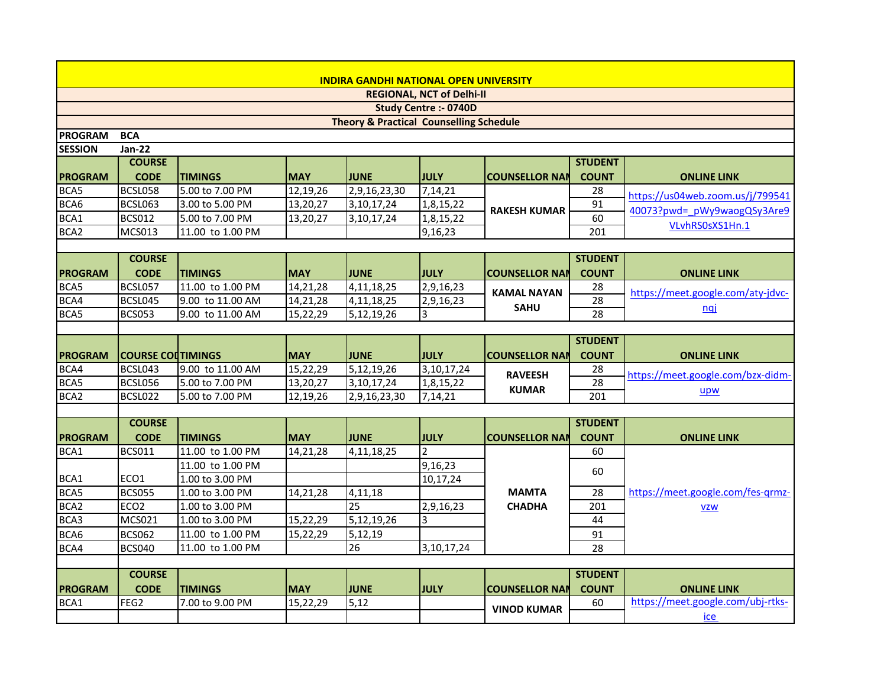| <b>INDIRA GANDHI NATIONAL OPEN UNIVERSITY</b>      |                          |                  |            |                               |               |                       |                 |                                   |  |  |
|----------------------------------------------------|--------------------------|------------------|------------|-------------------------------|---------------|-----------------------|-----------------|-----------------------------------|--|--|
| <b>REGIONAL, NCT of Delhi-II</b>                   |                          |                  |            |                               |               |                       |                 |                                   |  |  |
| <b>Study Centre :- 0740D</b>                       |                          |                  |            |                               |               |                       |                 |                                   |  |  |
| <b>Theory &amp; Practical Counselling Schedule</b> |                          |                  |            |                               |               |                       |                 |                                   |  |  |
| <b>PROGRAM</b>                                     | <b>BCA</b>               |                  |            |                               |               |                       |                 |                                   |  |  |
| <b>SESSION</b>                                     | <b>Jan-22</b>            |                  |            |                               |               |                       |                 |                                   |  |  |
|                                                    | <b>COURSE</b>            |                  |            |                               |               |                       | <b>STUDENT</b>  |                                   |  |  |
| <b>PROGRAM</b>                                     | <b>CODE</b>              | <b>TIMINGS</b>   | <b>MAY</b> | <b>JUNE</b>                   | JULY          | <b>COUNSELLOR NAM</b> | <b>COUNT</b>    | <b>ONLINE LINK</b>                |  |  |
| BCA5                                               | BCSL058                  | 5.00 to 7.00 PM  | 12,19,26   | 2,9,16,23,30                  | 7,14,21       |                       | 28              | https://us04web.zoom.us/j/799541  |  |  |
| BCA6                                               | BCSL063                  | 3.00 to 5.00 PM  | 13,20,27   | 3,10,17,24                    | 1,8,15,22     | <b>RAKESH KUMAR</b>   | 91              | 40073?pwd= pWy9waogQSy3Are9       |  |  |
| BCA1                                               | <b>BCS012</b>            | 5.00 to 7.00 PM  | 13,20,27   | 3,10,17,24                    | 1,8,15,22     |                       | 60              |                                   |  |  |
| BCA <sub>2</sub>                                   | <b>MCS013</b>            | 11.00 to 1.00 PM |            |                               | 9,16,23       |                       | 201             | VLvhRS0sXS1Hn.1                   |  |  |
|                                                    |                          |                  |            |                               |               |                       |                 |                                   |  |  |
|                                                    | <b>COURSE</b>            |                  |            |                               |               |                       | <b>STUDENT</b>  |                                   |  |  |
| <b>PROGRAM</b>                                     | <b>CODE</b>              | <b>TIMINGS</b>   | <b>MAY</b> | <b>JUNE</b>                   | <b>JULY</b>   | <b>COUNSELLOR NAM</b> | <b>COUNT</b>    | <b>ONLINE LINK</b>                |  |  |
| BCA5                                               | BCSL057                  | 11.00 to 1.00 PM | 14,21,28   | 4,11,18,25                    | 2,9,16,23     |                       | 28              |                                   |  |  |
| BCA4                                               | BCSL045                  | 9.00 to 11.00 AM | 14,21,28   | 4,11,18,25                    | 2,9,16,23     | <b>KAMAL NAYAN</b>    | $\overline{28}$ | https://meet.google.com/aty-jdvc- |  |  |
| BCA5                                               | <b>BCS053</b>            | 9.00 to 11.00 AM | 15,22,29   | 5,12,19,26                    | 3             | <b>SAHU</b>           | 28              | <u>nqi</u>                        |  |  |
|                                                    |                          |                  |            |                               |               |                       |                 |                                   |  |  |
|                                                    |                          |                  |            |                               |               |                       | <b>STUDENT</b>  |                                   |  |  |
| <b>PROGRAM</b>                                     | <b>COURSE COLTIMINGS</b> |                  | <b>MAY</b> | <b>JUNE</b>                   | <b>JULY</b>   | <b>COUNSELLOR NAM</b> | <b>COUNT</b>    | <b>ONLINE LINK</b>                |  |  |
| BCA4                                               | BCSL043                  | 9.00 to 11.00 AM | 15,22,29   | 5,12,19,26                    | 3,10,17,24    |                       | 28              |                                   |  |  |
| BCA5                                               | BCSL056                  | 5.00 to 7.00 PM  | 13,20,27   | 3,10,17,24                    | 1,8,15,22     | <b>RAVEESH</b>        | 28              | https://meet.google.com/bzx-didm- |  |  |
| BCA <sub>2</sub>                                   | BCSL022                  | 5.00 to 7.00 PM  | 12,19,26   | $\overline{2,9}$ , 16, 23, 30 | 7,14,21       | <b>KUMAR</b>          | 201             | upw                               |  |  |
|                                                    |                          |                  |            |                               |               |                       |                 |                                   |  |  |
|                                                    | <b>COURSE</b>            |                  |            |                               |               |                       | <b>STUDENT</b>  |                                   |  |  |
| <b>PROGRAM</b>                                     | <b>CODE</b>              | <b>TIMINGS</b>   | <b>MAY</b> | <b>JUNE</b>                   | <b>JULY</b>   | <b>COUNSELLOR NAM</b> | <b>COUNT</b>    | <b>ONLINE LINK</b>                |  |  |
| BCA1                                               | <b>BCS011</b>            | 11.00 to 1.00 PM | 14,21,28   | 4,11,18,25                    | $\mathcal{P}$ |                       | 60              |                                   |  |  |
|                                                    |                          | 11.00 to 1.00 PM |            |                               | 9,16,23       |                       |                 |                                   |  |  |
| BCA1                                               | ECO1                     | 1.00 to 3.00 PM  |            |                               | 10,17,24      |                       | 60              |                                   |  |  |
| BCA5                                               | <b>BCS055</b>            | 1.00 to 3.00 PM  | 14,21,28   | 4,11,18                       |               | <b>MAMTA</b>          | 28              | https://meet.google.com/fes-grmz- |  |  |
| BCA <sub>2</sub>                                   | ECO <sub>2</sub>         | 1.00 to 3.00 PM  |            | 25                            | 2,9,16,23     | <b>CHADHA</b>         | 201             | <b>VZW</b>                        |  |  |
| BCA3                                               | <b>MCS021</b>            | 1.00 to 3.00 PM  | 15,22,29   | 5,12,19,26                    | 3             |                       | 44              |                                   |  |  |
| BCA6                                               | <b>BCS062</b>            | 11.00 to 1.00 PM | 15,22,29   | 5,12,19                       |               |                       | 91              |                                   |  |  |
| BCA4                                               | <b>BCS040</b>            | 11.00 to 1.00 PM |            | 26                            | 3,10,17,24    |                       | 28              |                                   |  |  |
|                                                    |                          |                  |            |                               |               |                       |                 |                                   |  |  |
|                                                    | <b>COURSE</b>            |                  |            |                               |               |                       | <b>STUDENT</b>  |                                   |  |  |
| <b>PROGRAM</b>                                     | <b>CODE</b>              | <b>TIMINGS</b>   | <b>MAY</b> | <b>JUNE</b>                   | <b>JULY</b>   | <b>COUNSELLOR NAM</b> | <b>COUNT</b>    | <b>ONLINE LINK</b>                |  |  |
| BCA1                                               | FEG2                     | 7.00 to 9.00 PM  | 15,22,29   | 5,12                          |               |                       | 60              | https://meet.google.com/ubj-rtks- |  |  |
|                                                    |                          |                  |            |                               |               | <b>VINOD KUMAR</b>    |                 | ice                               |  |  |
|                                                    |                          |                  |            |                               |               |                       |                 |                                   |  |  |